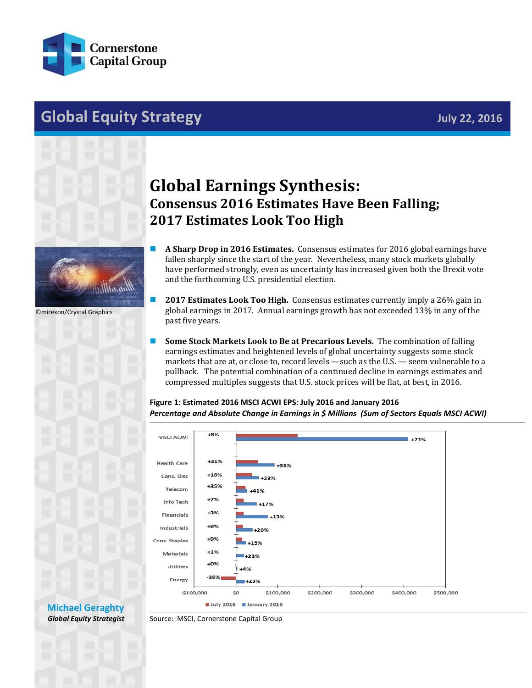

# **Global Equity Strategy July 22, 2016**





©mirexon/Crystal Graphics

## **Global Earnings Synthesis: Consensus 2016 Estimates Have Been Falling; 2017 Estimates Look Too High**

- **A Sharp Drop in 2016 Estimates.** Consensus estimates for 2016 global earnings have fallen sharply since the start of the year. Nevertheless, many stock markets globally have performed strongly, even as uncertainty has increased given both the Brexit vote and the forthcoming U.S. presidential election.
- **2017 Estimates Look Too High.** Consensus estimates currently imply a 26% gain in global earnings in 2017. Annual earnings growth has not exceeded 13% in any of the past five years.
- **Some Stock Markets Look to Be at Precarious Levels.** The combination of falling earnings estimates and heightened levels of global uncertainty suggests some stock markets that are at, or close to, record levels —such as the U.S. — seem vulnerable to a pullback. The potential combination of a continued decline in earnings estimates and compressed multiples suggests that U.S. stock prices will be flat, at best, in 2016.

## **Figure 1: Estimated 2016 MSCI ACWI EPS: July 2016 and January 2016** *Percentage and Absolute Change in Earnings in \$ Millions (Sum of Sectors Equals MSCI ACWI)*



### **[Michael Geraghty](mailto:michael.geraghty@cornerstonecapinc.com)** *Global Equity Strategist*

Source: MSCI, Cornerstone Capital Group